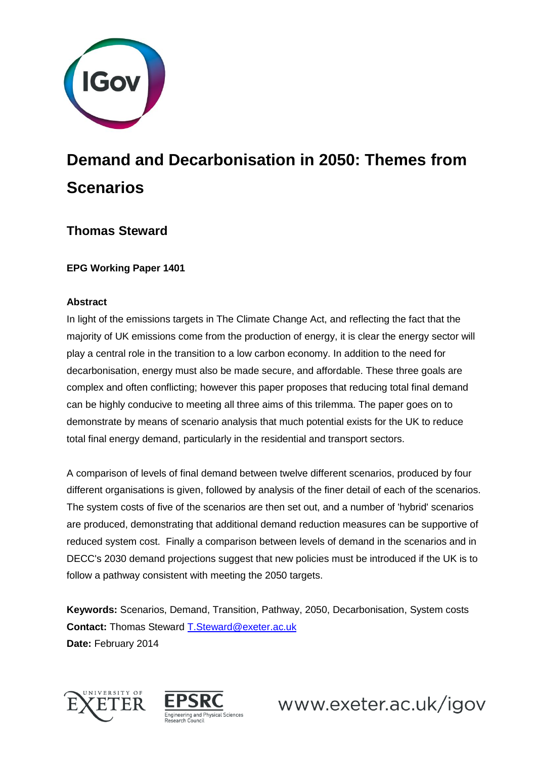

# **Demand and Decarbonisation in 2050: Themes from Scenarios**

## **Thomas Steward**

**EPG Working Paper 1401**

#### **Abstract**

In light of the emissions targets in The Climate Change Act, and reflecting the fact that the majority of UK emissions come from the production of energy, it is clear the energy sector will play a central role in the transition to a low carbon economy. In addition to the need for decarbonisation, energy must also be made secure, and affordable. These three goals are complex and often conflicting; however this paper proposes that reducing total final demand can be highly conducive to meeting all three aims of this trilemma. The paper goes on to demonstrate by means of scenario analysis that much potential exists for the UK to reduce total final energy demand, particularly in the residential and transport sectors.

A comparison of levels of final demand between twelve different scenarios, produced by four different organisations is given, followed by analysis of the finer detail of each of the scenarios. The system costs of five of the scenarios are then set out, and a number of 'hybrid' scenarios are produced, demonstrating that additional demand reduction measures can be supportive of reduced system cost. Finally a comparison between levels of demand in the scenarios and in DECC's 2030 demand projections suggest that new policies must be introduced if the UK is to follow a pathway consistent with meeting the 2050 targets.

**Keywords:** Scenarios, Demand, Transition, Pathway, 2050, Decarbonisation, System costs **Contact:** Thomas Steward [T.Steward@exeter.ac.uk](mailto:T.Steward@exeter.ac.uk) **Date:** February 2014



![](_page_0_Picture_9.jpeg)

www.exeter.ac.uk/igov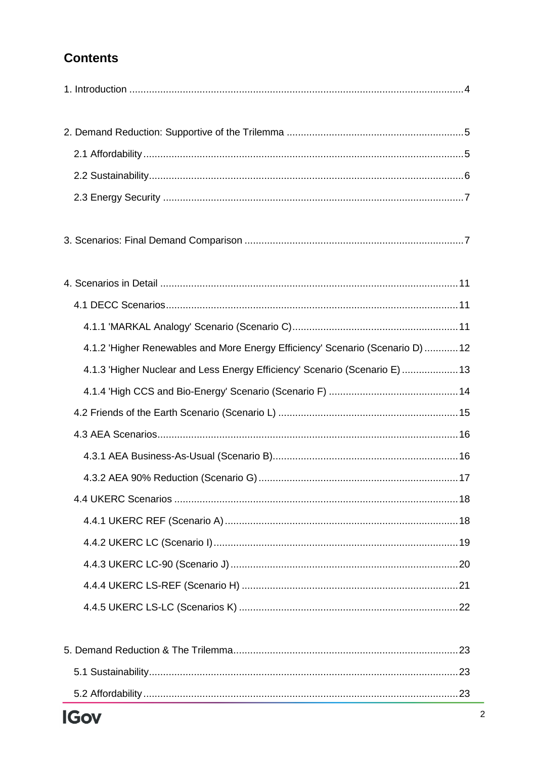# **Contents**

| 4.1.2 'Higher Renewables and More Energy Efficiency' Scenario (Scenario D)  12 |  |
|--------------------------------------------------------------------------------|--|
| 4.1.3 'Higher Nuclear and Less Energy Efficiency' Scenario (Scenario E)  13    |  |
|                                                                                |  |
|                                                                                |  |
|                                                                                |  |
|                                                                                |  |
|                                                                                |  |
|                                                                                |  |
|                                                                                |  |
|                                                                                |  |
|                                                                                |  |
|                                                                                |  |
|                                                                                |  |
|                                                                                |  |
|                                                                                |  |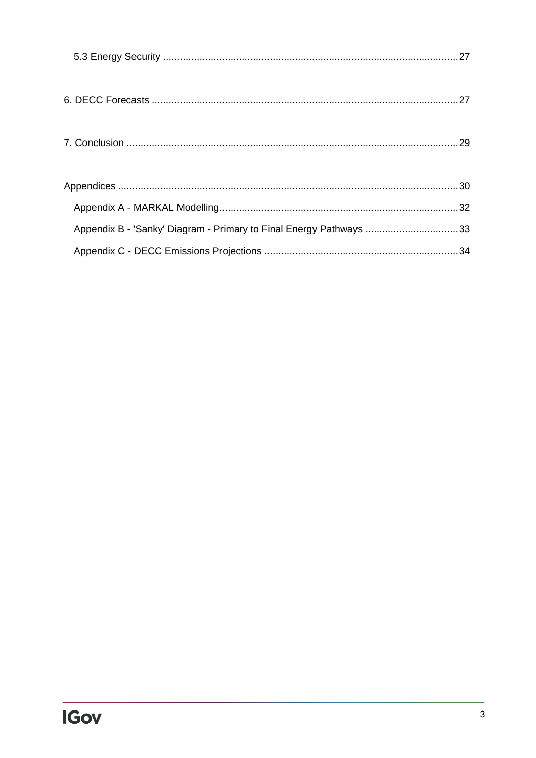| Appendix B - 'Sanky' Diagram - Primary to Final Energy Pathways 33 |  |
|--------------------------------------------------------------------|--|
|                                                                    |  |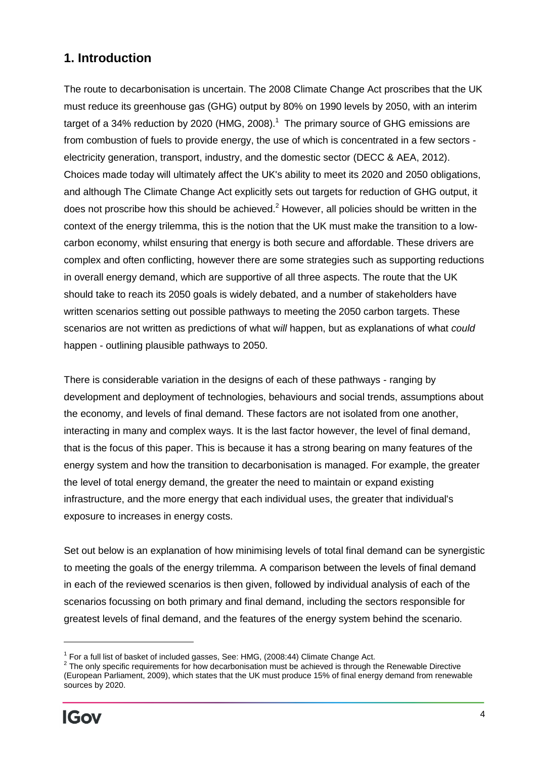## <span id="page-3-0"></span>**1. Introduction**

The route to decarbonisation is uncertain. The 2008 Climate Change Act proscribes that the UK must reduce its greenhouse gas (GHG) output by 80% on 1990 levels by 2050, with an interim target of a 34% reduction by 2020 (HMG, 2008).<sup>1</sup> The primary source of GHG emissions are from combustion of fuels to provide energy, the use of which is concentrated in a few sectors electricity generation, transport, industry, and the domestic sector (DECC & AEA, 2012). Choices made today will ultimately affect the UK's ability to meet its 2020 and 2050 obligations, and although The Climate Change Act explicitly sets out targets for reduction of GHG output, it does not proscribe how this should be achieved. $<sup>2</sup>$  However, all policies should be written in the</sup> context of the energy trilemma, this is the notion that the UK must make the transition to a lowcarbon economy, whilst ensuring that energy is both secure and affordable. These drivers are complex and often conflicting, however there are some strategies such as supporting reductions in overall energy demand, which are supportive of all three aspects. The route that the UK should take to reach its 2050 goals is widely debated, and a number of stakeholders have written scenarios setting out possible pathways to meeting the 2050 carbon targets. These scenarios are not written as predictions of what w*ill* happen, but as explanations of what *could* happen - outlining plausible pathways to 2050.

There is considerable variation in the designs of each of these pathways - ranging by development and deployment of technologies, behaviours and social trends, assumptions about the economy, and levels of final demand. These factors are not isolated from one another, interacting in many and complex ways. It is the last factor however, the level of final demand, that is the focus of this paper. This is because it has a strong bearing on many features of the energy system and how the transition to decarbonisation is managed. For example, the greater the level of total energy demand, the greater the need to maintain or expand existing infrastructure, and the more energy that each individual uses, the greater that individual's exposure to increases in energy costs.

Set out below is an explanation of how minimising levels of total final demand can be synergistic to meeting the goals of the energy trilemma. A comparison between the levels of final demand in each of the reviewed scenarios is then given, followed by individual analysis of each of the scenarios focussing on both primary and final demand, including the sectors responsible for greatest levels of final demand, and the features of the energy system behind the scenario.

 $^1$  For a full list of basket of included gasses, See: HMG, (2008:44) Climate Change Act.<br><sup>2</sup> The only specific requirements for how decarbonisation must be achieved is through the Renewable Directive (European Parliament, 2009), which states that the UK must produce 15% of final energy demand from renewable sources by 2020.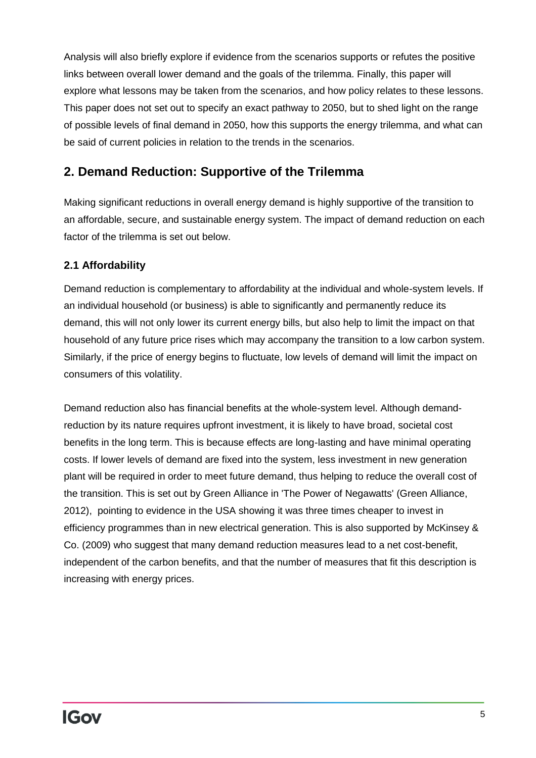Analysis will also briefly explore if evidence from the scenarios supports or refutes the positive links between overall lower demand and the goals of the trilemma. Finally, this paper will explore what lessons may be taken from the scenarios, and how policy relates to these lessons. This paper does not set out to specify an exact pathway to 2050, but to shed light on the range of possible levels of final demand in 2050, how this supports the energy trilemma, and what can be said of current policies in relation to the trends in the scenarios.

# <span id="page-4-0"></span>**2. Demand Reduction: Supportive of the Trilemma**

Making significant reductions in overall energy demand is highly supportive of the transition to an affordable, secure, and sustainable energy system. The impact of demand reduction on each factor of the trilemma is set out below.

## <span id="page-4-1"></span>**2.1 Affordability**

Demand reduction is complementary to affordability at the individual and whole-system levels. If an individual household (or business) is able to significantly and permanently reduce its demand, this will not only lower its current energy bills, but also help to limit the impact on that household of any future price rises which may accompany the transition to a low carbon system. Similarly, if the price of energy begins to fluctuate, low levels of demand will limit the impact on consumers of this volatility.

Demand reduction also has financial benefits at the whole-system level. Although demandreduction by its nature requires upfront investment, it is likely to have broad, societal cost benefits in the long term. This is because effects are long-lasting and have minimal operating costs. If lower levels of demand are fixed into the system, less investment in new generation plant will be required in order to meet future demand, thus helping to reduce the overall cost of the transition. This is set out by Green Alliance in 'The Power of Negawatts' (Green Alliance, 2012), pointing to evidence in the USA showing it was three times cheaper to invest in efficiency programmes than in new electrical generation. This is also supported by McKinsey & Co. (2009) who suggest that many demand reduction measures lead to a net cost-benefit, independent of the carbon benefits, and that the number of measures that fit this description is increasing with energy prices.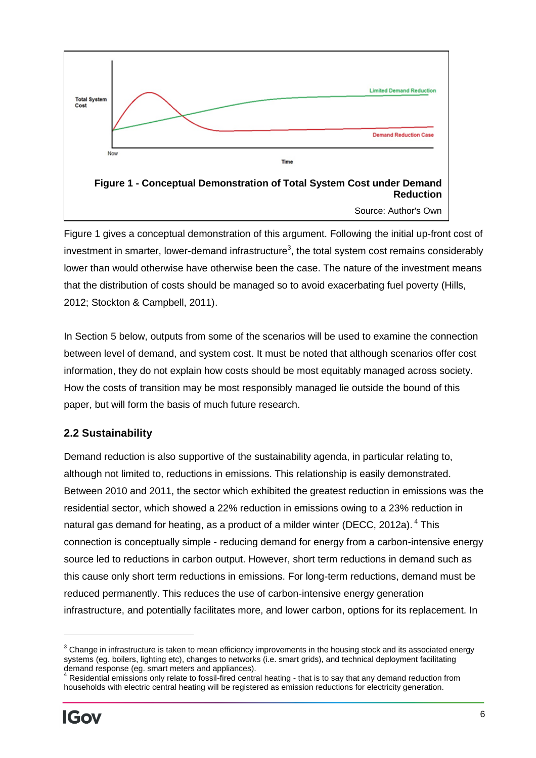![](_page_5_Figure_0.jpeg)

Figure 1 gives a conceptual demonstration of this argument. Following the initial up-front cost of investment in smarter, lower-demand infrastructure<sup>3</sup>, the total system cost remains considerably lower than would otherwise have otherwise been the case. The nature of the investment means that the distribution of costs should be managed so to avoid exacerbating fuel poverty (Hills, 2012; Stockton & Campbell, 2011).

In Section 5 below, outputs from some of the scenarios will be used to examine the connection between level of demand, and system cost. It must be noted that although scenarios offer cost information, they do not explain how costs should be most equitably managed across society. How the costs of transition may be most responsibly managed lie outside the bound of this paper, but will form the basis of much future research.

## <span id="page-5-0"></span>**2.2 Sustainability**

Demand reduction is also supportive of the sustainability agenda, in particular relating to, although not limited to, reductions in emissions. This relationship is easily demonstrated. Between 2010 and 2011, the sector which exhibited the greatest reduction in emissions was the residential sector, which showed a 22% reduction in emissions owing to a 23% reduction in natural gas demand for heating, as a product of a milder winter (DECC, 2012a). <sup>4</sup> This connection is conceptually simple - reducing demand for energy from a carbon-intensive energy source led to reductions in carbon output. However, short term reductions in demand such as this cause only short term reductions in emissions. For long-term reductions, demand must be reduced permanently. This reduces the use of carbon-intensive energy generation infrastructure, and potentially facilitates more, and lower carbon, options for its replacement. In

 $\overline{a}$ 

 $3$  Change in infrastructure is taken to mean efficiency improvements in the housing stock and its associated energy systems (eg. boilers, lighting etc), changes to networks (i.e. smart grids), and technical deployment facilitating demand response (eg. smart meters and appliances).

Residential emissions only relate to fossil-fired central heating - that is to say that any demand reduction from households with electric central heating will be registered as emission reductions for electricity generation.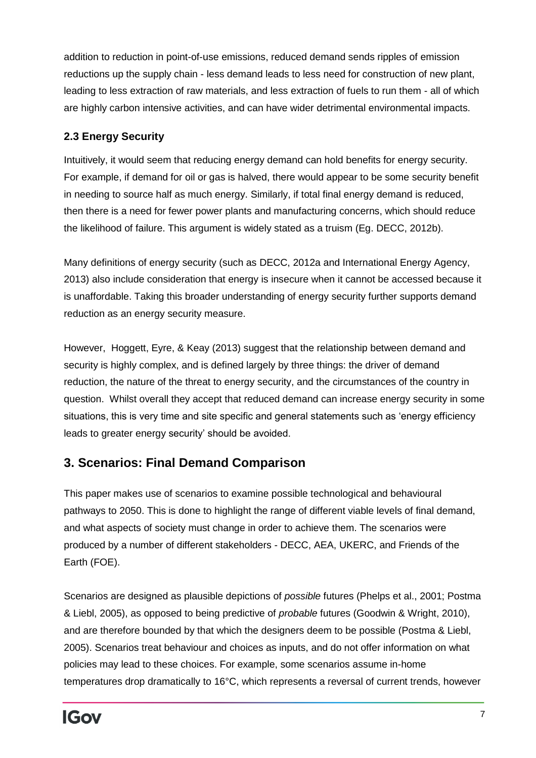addition to reduction in point-of-use emissions, reduced demand sends ripples of emission reductions up the supply chain - less demand leads to less need for construction of new plant, leading to less extraction of raw materials, and less extraction of fuels to run them - all of which are highly carbon intensive activities, and can have wider detrimental environmental impacts.

## <span id="page-6-0"></span>**2.3 Energy Security**

Intuitively, it would seem that reducing energy demand can hold benefits for energy security. For example, if demand for oil or gas is halved, there would appear to be some security benefit in needing to source half as much energy. Similarly, if total final energy demand is reduced, then there is a need for fewer power plants and manufacturing concerns, which should reduce the likelihood of failure. This argument is widely stated as a truism (Eg. DECC, 2012b).

Many definitions of energy security (such as DECC, 2012a and International Energy Agency, 2013) also include consideration that energy is insecure when it cannot be accessed because it is unaffordable. Taking this broader understanding of energy security further supports demand reduction as an energy security measure.

However, Hoggett, Eyre, & Keay (2013) suggest that the relationship between demand and security is highly complex, and is defined largely by three things: the driver of demand reduction, the nature of the threat to energy security, and the circumstances of the country in question. Whilst overall they accept that reduced demand can increase energy security in some situations, this is very time and site specific and general statements such as 'energy efficiency leads to greater energy security' should be avoided.

# <span id="page-6-1"></span>**3. Scenarios: Final Demand Comparison**

This paper makes use of scenarios to examine possible technological and behavioural pathways to 2050. This is done to highlight the range of different viable levels of final demand, and what aspects of society must change in order to achieve them. The scenarios were produced by a number of different stakeholders - DECC, AEA, UKERC, and Friends of the Earth (FOE).

Scenarios are designed as plausible depictions of *possible* futures (Phelps et al., 2001; Postma & Liebl, 2005), as opposed to being predictive of *probable* futures (Goodwin & Wright, 2010), and are therefore bounded by that which the designers deem to be possible (Postma & Liebl, 2005). Scenarios treat behaviour and choices as inputs, and do not offer information on what policies may lead to these choices. For example, some scenarios assume in-home temperatures drop dramatically to 16°C, which represents a reversal of current trends, however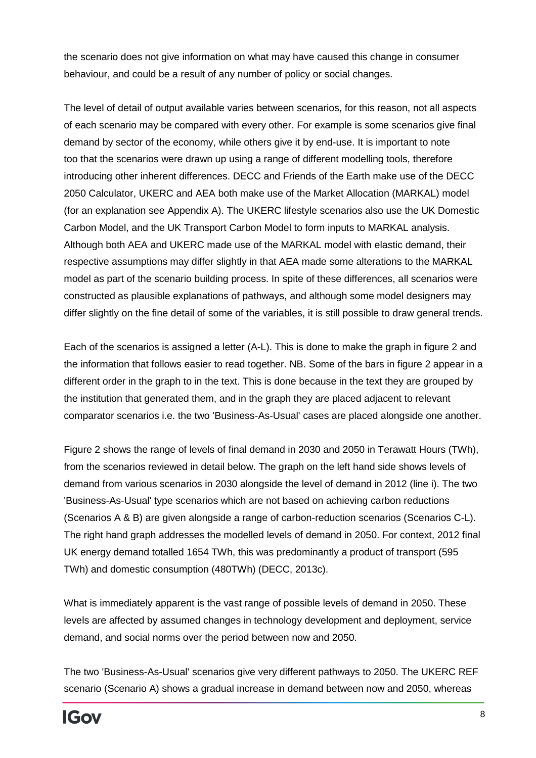the scenario does not give information on what may have caused this change in consumer behaviour, and could be a result of any number of policy or social changes.

The level of detail of output available varies between scenarios, for this reason, not all aspects of each scenario may be compared with every other. For example is some scenarios give final demand by sector of the economy, while others give it by end-use. It is important to note too that the scenarios were drawn up using a range of different modelling tools, therefore introducing other inherent differences. DECC and Friends of the Earth make use of the DECC 2050 Calculator, UKERC and AEA both make use of the Market Allocation (MARKAL) model (for an explanation see Appendix A). The UKERC lifestyle scenarios also use the UK Domestic Carbon Model, and the UK Transport Carbon Model to form inputs to MARKAL analysis. Although both AEA and UKERC made use of the MARKAL model with elastic demand, their respective assumptions may differ slightly in that AEA made some alterations to the MARKAL model as part of the scenario building process. In spite of these differences, all scenarios were constructed as plausible explanations of pathways, and although some model designers may differ slightly on the fine detail of some of the variables, it is still possible to draw general trends.

Each of the scenarios is assigned a letter (A-L). This is done to make the graph in figure 2 and the information that follows easier to read together. NB. Some of the bars in figure 2 appear in a different order in the graph to in the text. This is done because in the text they are grouped by the institution that generated them, and in the graph they are placed adjacent to relevant comparator scenarios i.e. the two 'Business-As-Usual' cases are placed alongside one another.

Figure 2 shows the range of levels of final demand in 2030 and 2050 in Terawatt Hours (TWh), from the scenarios reviewed in detail below. The graph on the left hand side shows levels of demand from various scenarios in 2030 alongside the level of demand in 2012 (line i). The two 'Business-As-Usual' type scenarios which are not based on achieving carbon reductions (Scenarios A & B) are given alongside a range of carbon-reduction scenarios (Scenarios C-L). The right hand graph addresses the modelled levels of demand in 2050. For context, 2012 final UK energy demand totalled 1654 TWh, this was predominantly a product of transport (595 TWh) and domestic consumption (480TWh) (DECC, 2013c).

What is immediately apparent is the vast range of possible levels of demand in 2050. These levels are affected by assumed changes in technology development and deployment, service demand, and social norms over the period between now and 2050.

The two 'Business-As-Usual' scenarios give very different pathways to 2050. The UKERC REF scenario (Scenario A) shows a gradual increase in demand between now and 2050, whereas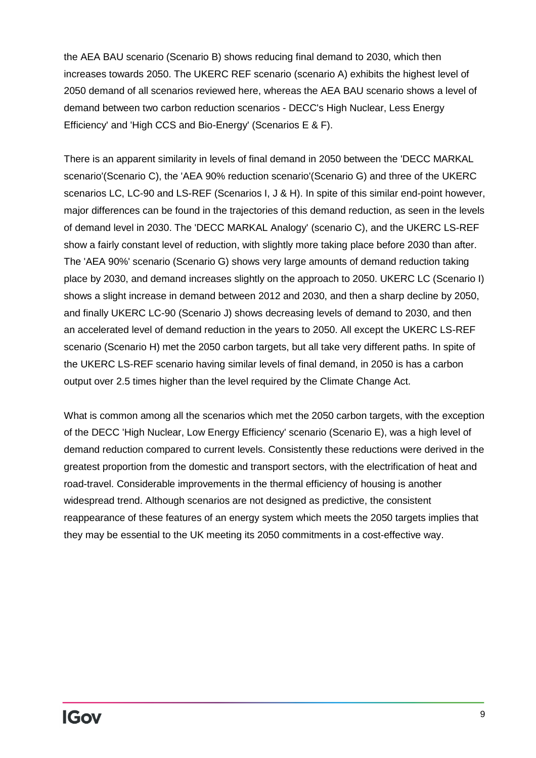the AEA BAU scenario (Scenario B) shows reducing final demand to 2030, which then increases towards 2050. The UKERC REF scenario (scenario A) exhibits the highest level of 2050 demand of all scenarios reviewed here, whereas the AEA BAU scenario shows a level of demand between two carbon reduction scenarios - DECC's High Nuclear, Less Energy Efficiency' and 'High CCS and Bio-Energy' (Scenarios E & F).

There is an apparent similarity in levels of final demand in 2050 between the 'DECC MARKAL scenario'(Scenario C), the 'AEA 90% reduction scenario'(Scenario G) and three of the UKERC scenarios LC, LC-90 and LS-REF (Scenarios I, J & H). In spite of this similar end-point however, major differences can be found in the trajectories of this demand reduction, as seen in the levels of demand level in 2030. The 'DECC MARKAL Analogy' (scenario C), and the UKERC LS-REF show a fairly constant level of reduction, with slightly more taking place before 2030 than after. The 'AEA 90%' scenario (Scenario G) shows very large amounts of demand reduction taking place by 2030, and demand increases slightly on the approach to 2050. UKERC LC (Scenario I) shows a slight increase in demand between 2012 and 2030, and then a sharp decline by 2050, and finally UKERC LC-90 (Scenario J) shows decreasing levels of demand to 2030, and then an accelerated level of demand reduction in the years to 2050. All except the UKERC LS-REF scenario (Scenario H) met the 2050 carbon targets, but all take very different paths. In spite of the UKERC LS-REF scenario having similar levels of final demand, in 2050 is has a carbon output over 2.5 times higher than the level required by the Climate Change Act.

What is common among all the scenarios which met the 2050 carbon targets, with the exception of the DECC 'High Nuclear, Low Energy Efficiency' scenario (Scenario E), was a high level of demand reduction compared to current levels. Consistently these reductions were derived in the greatest proportion from the domestic and transport sectors, with the electrification of heat and road-travel. Considerable improvements in the thermal efficiency of housing is another widespread trend. Although scenarios are not designed as predictive, the consistent reappearance of these features of an energy system which meets the 2050 targets implies that they may be essential to the UK meeting its 2050 commitments in a cost-effective way.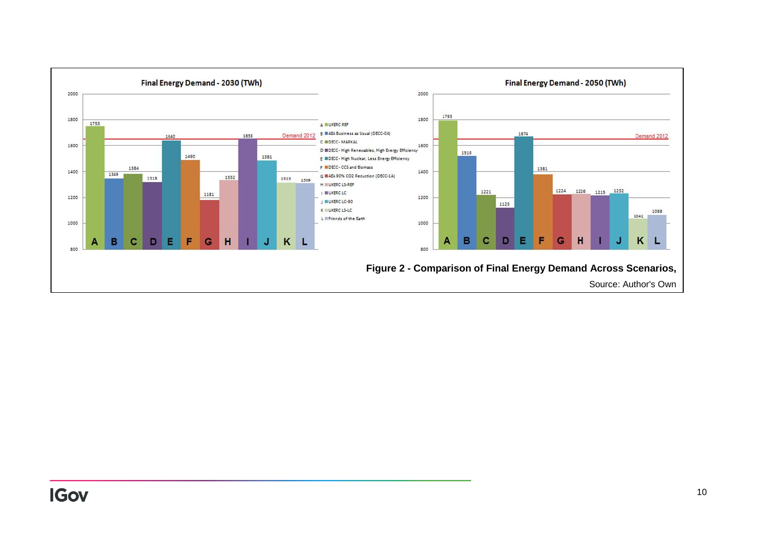<span id="page-9-0"></span>![](_page_9_Figure_0.jpeg)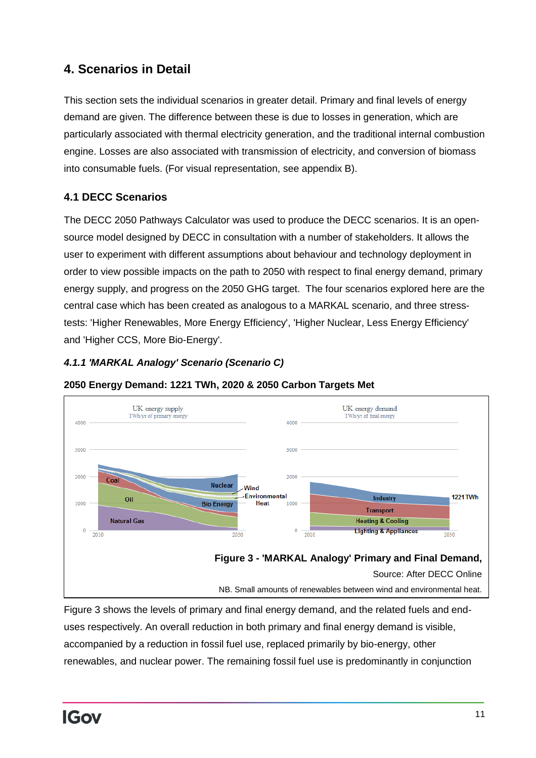# **4. Scenarios in Detail**

This section sets the individual scenarios in greater detail. Primary and final levels of energy demand are given. The difference between these is due to losses in generation, which are particularly associated with thermal electricity generation, and the traditional internal combustion engine. Losses are also associated with transmission of electricity, and conversion of biomass into consumable fuels. (For visual representation, see appendix B).

## <span id="page-10-0"></span>**4.1 DECC Scenarios**

The DECC 2050 Pathways Calculator was used to produce the DECC scenarios. It is an opensource model designed by DECC in consultation with a number of stakeholders. It allows the user to experiment with different assumptions about behaviour and technology deployment in order to view possible impacts on the path to 2050 with respect to final energy demand, primary energy supply, and progress on the 2050 GHG target. The four scenarios explored here are the central case which has been created as analogous to a MARKAL scenario, and three stresstests: 'Higher Renewables, More Energy Efficiency', 'Higher Nuclear, Less Energy Efficiency' and 'Higher CCS, More Bio-Energy'.

## <span id="page-10-1"></span>*4.1.1 'MARKAL Analogy' Scenario (Scenario C)*

![](_page_10_Figure_5.jpeg)

**2050 Energy Demand: 1221 TWh, 2020 & 2050 Carbon Targets Met**

Figure 3 shows the levels of primary and final energy demand, and the related fuels and enduses respectively. An overall reduction in both primary and final energy demand is visible, accompanied by a reduction in fossil fuel use, replaced primarily by bio-energy, other renewables, and nuclear power. The remaining fossil fuel use is predominantly in conjunction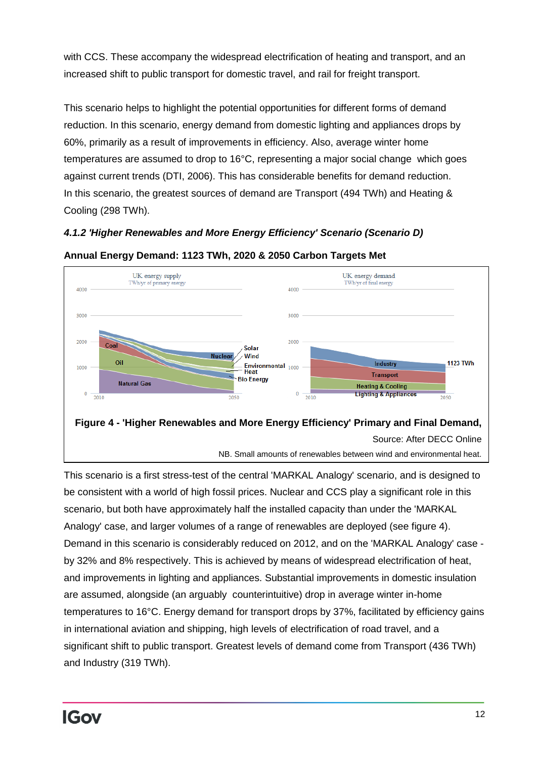with CCS. These accompany the widespread electrification of heating and transport, and an increased shift to public transport for domestic travel, and rail for freight transport.

This scenario helps to highlight the potential opportunities for different forms of demand reduction. In this scenario, energy demand from domestic lighting and appliances drops by 60%, primarily as a result of improvements in efficiency. Also, average winter home temperatures are assumed to drop to 16°C, representing a major social change which goes against current trends (DTI, 2006). This has considerable benefits for demand reduction. In this scenario, the greatest sources of demand are Transport (494 TWh) and Heating & Cooling (298 TWh).

<span id="page-11-0"></span>*4.1.2 'Higher Renewables and More Energy Efficiency' Scenario (Scenario D)*

![](_page_11_Figure_3.jpeg)

**Annual Energy Demand: 1123 TWh, 2020 & 2050 Carbon Targets Met** 

This scenario is a first stress-test of the central 'MARKAL Analogy' scenario, and is designed to be consistent with a world of high fossil prices. Nuclear and CCS play a significant role in this scenario, but both have approximately half the installed capacity than under the 'MARKAL Analogy' case, and larger volumes of a range of renewables are deployed (see figure 4). Demand in this scenario is considerably reduced on 2012, and on the 'MARKAL Analogy' case by 32% and 8% respectively. This is achieved by means of widespread electrification of heat, and improvements in lighting and appliances. Substantial improvements in domestic insulation are assumed, alongside (an arguably counterintuitive) drop in average winter in-home temperatures to 16°C. Energy demand for transport drops by 37%, facilitated by efficiency gains in international aviation and shipping, high levels of electrification of road travel, and a significant shift to public transport. Greatest levels of demand come from Transport (436 TWh) and Industry (319 TWh).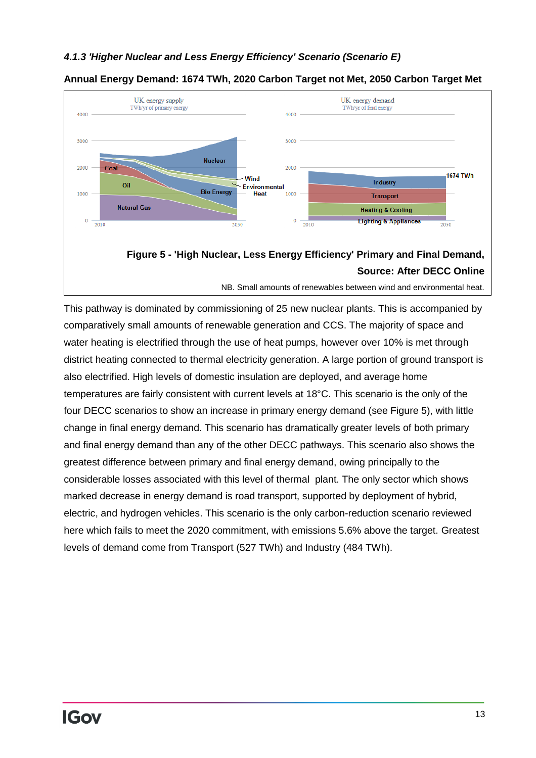#### <span id="page-12-0"></span>*4.1.3 'Higher Nuclear and Less Energy Efficiency' Scenario (Scenario E)*

![](_page_12_Figure_1.jpeg)

#### **Annual Energy Demand: 1674 TWh, 2020 Carbon Target not Met, 2050 Carbon Target Met**

# **Source: After DECC Online**

NB. Small amounts of renewables between wind and environmental heat.

This pathway is dominated by commissioning of 25 new nuclear plants. This is accompanied by comparatively small amounts of renewable generation and CCS. The majority of space and water heating is electrified through the use of heat pumps, however over 10% is met through district heating connected to thermal electricity generation. A large portion of ground transport is also electrified. High levels of domestic insulation are deployed, and average home temperatures are fairly consistent with current levels at 18°C. This scenario is the only of the four DECC scenarios to show an increase in primary energy demand (see Figure 5), with little change in final energy demand. This scenario has dramatically greater levels of both primary and final energy demand than any of the other DECC pathways. This scenario also shows the greatest difference between primary and final energy demand, owing principally to the considerable losses associated with this level of thermal plant. The only sector which shows marked decrease in energy demand is road transport, supported by deployment of hybrid, electric, and hydrogen vehicles. This scenario is the only carbon-reduction scenario reviewed here which fails to meet the 2020 commitment, with emissions 5.6% above the target. Greatest levels of demand come from Transport (527 TWh) and Industry (484 TWh).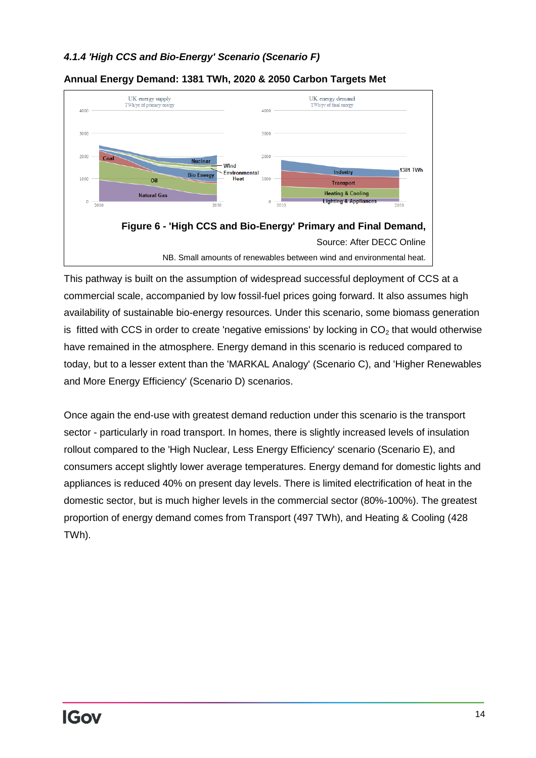#### <span id="page-13-0"></span>*4.1.4 'High CCS and Bio-Energy' Scenario (Scenario F)*

![](_page_13_Figure_1.jpeg)

#### **Annual Energy Demand: 1381 TWh, 2020 & 2050 Carbon Targets Met**

This pathway is built on the assumption of widespread successful deployment of CCS at a commercial scale, accompanied by low fossil-fuel prices going forward. It also assumes high availability of sustainable bio-energy resources. Under this scenario, some biomass generation is fitted with CCS in order to create 'negative emissions' by locking in  $CO<sub>2</sub>$  that would otherwise have remained in the atmosphere. Energy demand in this scenario is reduced compared to today, but to a lesser extent than the 'MARKAL Analogy' (Scenario C), and 'Higher Renewables and More Energy Efficiency' (Scenario D) scenarios.

Once again the end-use with greatest demand reduction under this scenario is the transport sector - particularly in road transport. In homes, there is slightly increased levels of insulation rollout compared to the 'High Nuclear, Less Energy Efficiency' scenario (Scenario E), and consumers accept slightly lower average temperatures. Energy demand for domestic lights and appliances is reduced 40% on present day levels. There is limited electrification of heat in the domestic sector, but is much higher levels in the commercial sector (80%-100%). The greatest proportion of energy demand comes from Transport (497 TWh), and Heating & Cooling (428 TWh).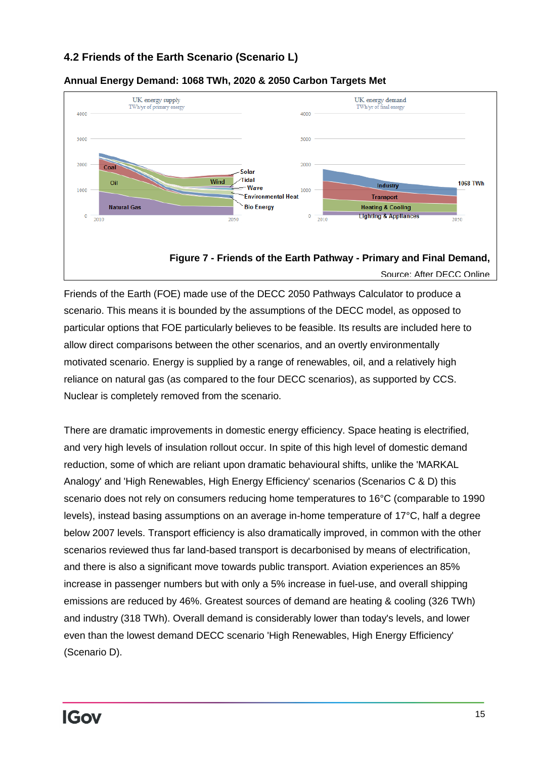## <span id="page-14-0"></span>**4.2 Friends of the Earth Scenario (Scenario L)**

![](_page_14_Figure_1.jpeg)

#### **Annual Energy Demand: 1068 TWh, 2020 & 2050 Carbon Targets Met**

Friends of the Earth (FOE) made use of the DECC 2050 Pathways Calculator to produce a scenario. This means it is bounded by the assumptions of the DECC model, as opposed to particular options that FOE particularly believes to be feasible. Its results are included here to allow direct comparisons between the other scenarios, and an overtly environmentally motivated scenario. Energy is supplied by a range of renewables, oil, and a relatively high reliance on natural gas (as compared to the four DECC scenarios), as supported by CCS. Nuclear is completely removed from the scenario.

There are dramatic improvements in domestic energy efficiency. Space heating is electrified, and very high levels of insulation rollout occur. In spite of this high level of domestic demand reduction, some of which are reliant upon dramatic behavioural shifts, unlike the 'MARKAL Analogy' and 'High Renewables, High Energy Efficiency' scenarios (Scenarios C & D) this scenario does not rely on consumers reducing home temperatures to 16°C (comparable to 1990 levels), instead basing assumptions on an average in-home temperature of 17°C, half a degree below 2007 levels. Transport efficiency is also dramatically improved, in common with the other scenarios reviewed thus far land-based transport is decarbonised by means of electrification, and there is also a significant move towards public transport. Aviation experiences an 85% increase in passenger numbers but with only a 5% increase in fuel-use, and overall shipping emissions are reduced by 46%. Greatest sources of demand are heating & cooling (326 TWh) and industry (318 TWh). Overall demand is considerably lower than today's levels, and lower even than the lowest demand DECC scenario 'High Renewables, High Energy Efficiency' (Scenario D).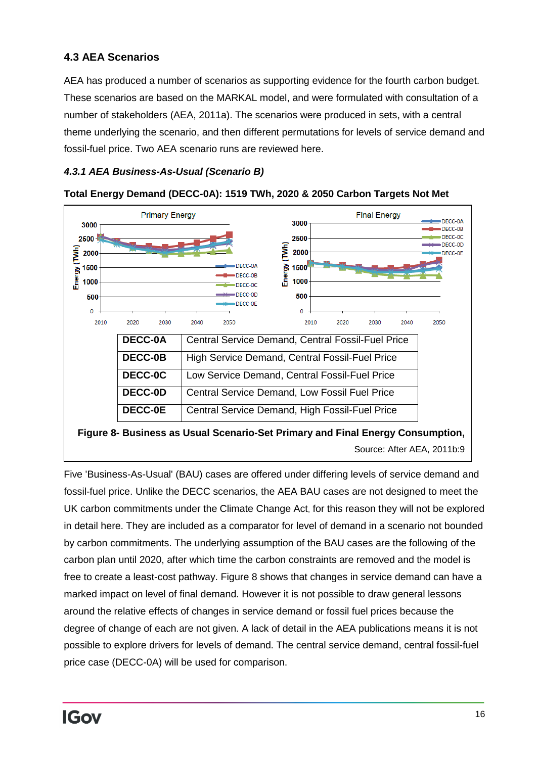## <span id="page-15-0"></span>**4.3 AEA Scenarios**

AEA has produced a number of scenarios as supporting evidence for the fourth carbon budget. These scenarios are based on the MARKAL model, and were formulated with consultation of a number of stakeholders (AEA, 2011a). The scenarios were produced in sets, with a central theme underlying the scenario, and then different permutations for levels of service demand and fossil-fuel price. Two AEA scenario runs are reviewed here.

## <span id="page-15-1"></span>*4.3.1 AEA Business-As-Usual (Scenario B)*

![](_page_15_Figure_3.jpeg)

**Total Energy Demand (DECC-0A): 1519 TWh, 2020 & 2050 Carbon Targets Not Met**

Five 'Business-As-Usual' (BAU) cases are offered under differing levels of service demand and fossil-fuel price. Unlike the DECC scenarios, the AEA BAU cases are not designed to meet the UK carbon commitments under the Climate Change Act, for this reason they will not be explored in detail here. They are included as a comparator for level of demand in a scenario not bounded by carbon commitments. The underlying assumption of the BAU cases are the following of the carbon plan until 2020, after which time the carbon constraints are removed and the model is free to create a least-cost pathway. Figure 8 shows that changes in service demand can have a marked impact on level of final demand. However it is not possible to draw general lessons around the relative effects of changes in service demand or fossil fuel prices because the degree of change of each are not given. A lack of detail in the AEA publications means it is not possible to explore drivers for levels of demand. The central service demand, central fossil-fuel price case (DECC-0A) will be used for comparison.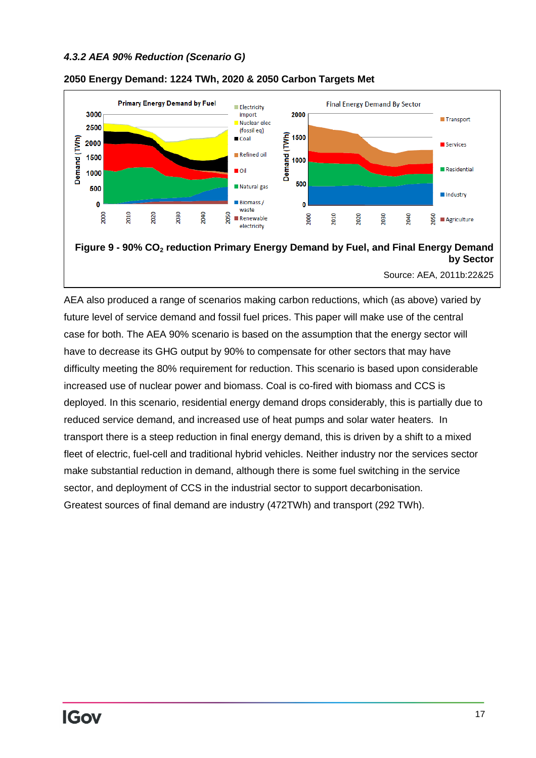#### <span id="page-16-0"></span>*4.3.2 AEA 90% Reduction (Scenario G)*

![](_page_16_Figure_1.jpeg)

#### **2050 Energy Demand: 1224 TWh, 2020 & 2050 Carbon Targets Met**

Source: AEA, 2011b:22&25

<span id="page-16-1"></span>AEA also produced a range of scenarios making carbon reductions, which (as above) varied by future level of service demand and fossil fuel prices. This paper will make use of the central case for both. The AEA 90% scenario is based on the assumption that the energy sector will have to decrease its GHG output by 90% to compensate for other sectors that may have difficulty meeting the 80% requirement for reduction. This scenario is based upon considerable increased use of nuclear power and biomass. Coal is co-fired with biomass and CCS is deployed. In this scenario, residential energy demand drops considerably, this is partially due to reduced service demand, and increased use of heat pumps and solar water heaters. In transport there is a steep reduction in final energy demand, this is driven by a shift to a mixed fleet of electric, fuel-cell and traditional hybrid vehicles. Neither industry nor the services sector make substantial reduction in demand, although there is some fuel switching in the service sector, and deployment of CCS in the industrial sector to support decarbonisation. Greatest sources of final demand are industry (472TWh) and transport (292 TWh).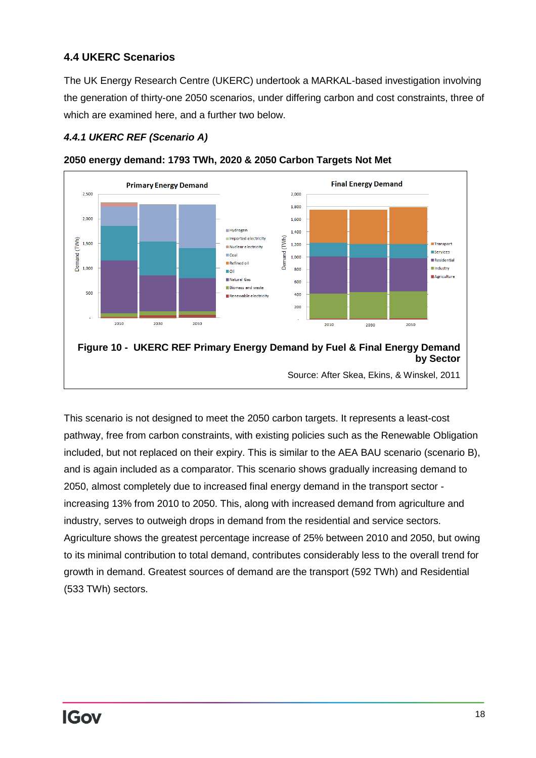## **4.4 UKERC Scenarios**

The UK Energy Research Centre (UKERC) undertook a MARKAL-based investigation involving the generation of thirty-one 2050 scenarios, under differing carbon and cost constraints, three of which are examined here, and a further two below.

#### <span id="page-17-0"></span>*4.4.1 UKERC REF (Scenario A)*

![](_page_17_Figure_3.jpeg)

**2050 energy demand: 1793 TWh, 2020 & 2050 Carbon Targets Not Met**

This scenario is not designed to meet the 2050 carbon targets. It represents a least-cost pathway, free from carbon constraints, with existing policies such as the Renewable Obligation included, but not replaced on their expiry. This is similar to the AEA BAU scenario (scenario B), and is again included as a comparator. This scenario shows gradually increasing demand to 2050, almost completely due to increased final energy demand in the transport sector increasing 13% from 2010 to 2050. This, along with increased demand from agriculture and industry, serves to outweigh drops in demand from the residential and service sectors. Agriculture shows the greatest percentage increase of 25% between 2010 and 2050, but owing to its minimal contribution to total demand, contributes considerably less to the overall trend for growth in demand. Greatest sources of demand are the transport (592 TWh) and Residential (533 TWh) sectors.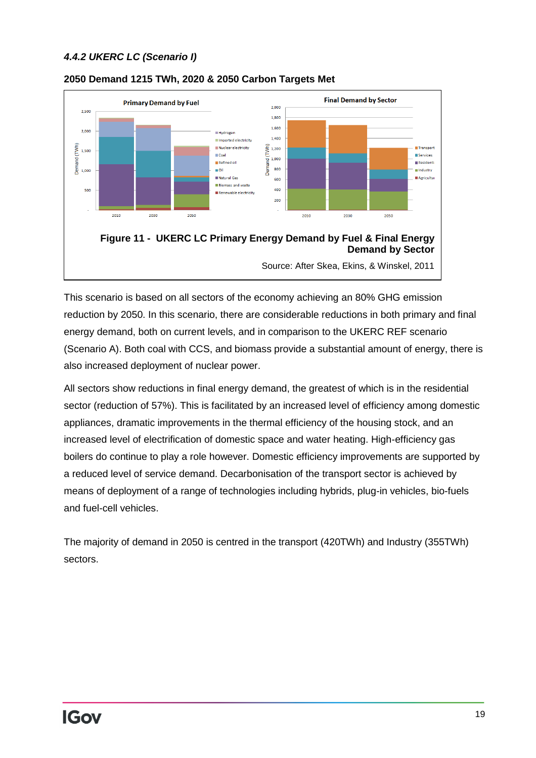#### <span id="page-18-0"></span>*4.4.2 UKERC LC (Scenario I)*

![](_page_18_Figure_1.jpeg)

#### **2050 Demand 1215 TWh, 2020 & 2050 Carbon Targets Met**

This scenario is based on all sectors of the economy achieving an 80% GHG emission reduction by 2050. In this scenario, there are considerable reductions in both primary and final energy demand, both on current levels, and in comparison to the UKERC REF scenario (Scenario A). Both coal with CCS, and biomass provide a substantial amount of energy, there is also increased deployment of nuclear power.

All sectors show reductions in final energy demand, the greatest of which is in the residential sector (reduction of 57%). This is facilitated by an increased level of efficiency among domestic appliances, dramatic improvements in the thermal efficiency of the housing stock, and an increased level of electrification of domestic space and water heating. High-efficiency gas boilers do continue to play a role however. Domestic efficiency improvements are supported by a reduced level of service demand. Decarbonisation of the transport sector is achieved by means of deployment of a range of technologies including hybrids, plug-in vehicles, bio-fuels and fuel-cell vehicles.

<span id="page-18-1"></span>The majority of demand in 2050 is centred in the transport (420TWh) and Industry (355TWh) sectors.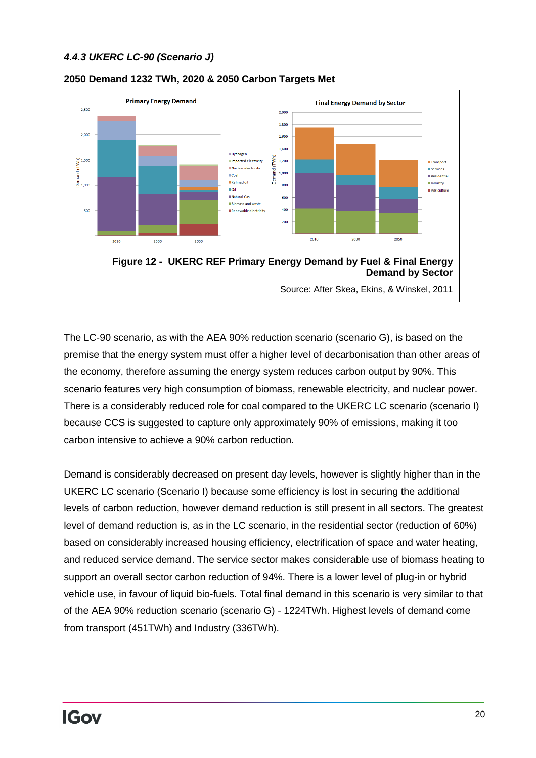#### *4.4.3 UKERC LC-90 (Scenario J)*

![](_page_19_Figure_1.jpeg)

#### **2050 Demand 1232 TWh, 2020 & 2050 Carbon Targets Met**

The LC-90 scenario, as with the AEA 90% reduction scenario (scenario G), is based on the premise that the energy system must offer a higher level of decarbonisation than other areas of the economy, therefore assuming the energy system reduces carbon output by 90%. This scenario features very high consumption of biomass, renewable electricity, and nuclear power. There is a considerably reduced role for coal compared to the UKERC LC scenario (scenario I) because CCS is suggested to capture only approximately 90% of emissions, making it too carbon intensive to achieve a 90% carbon reduction.

Demand is considerably decreased on present day levels, however is slightly higher than in the UKERC LC scenario (Scenario I) because some efficiency is lost in securing the additional levels of carbon reduction, however demand reduction is still present in all sectors. The greatest level of demand reduction is, as in the LC scenario, in the residential sector (reduction of 60%) based on considerably increased housing efficiency, electrification of space and water heating, and reduced service demand. The service sector makes considerable use of biomass heating to support an overall sector carbon reduction of 94%. There is a lower level of plug-in or hybrid vehicle use, in favour of liquid bio-fuels. Total final demand in this scenario is very similar to that of the AEA 90% reduction scenario (scenario G) - 1224TWh. Highest levels of demand come from transport (451TWh) and Industry (336TWh).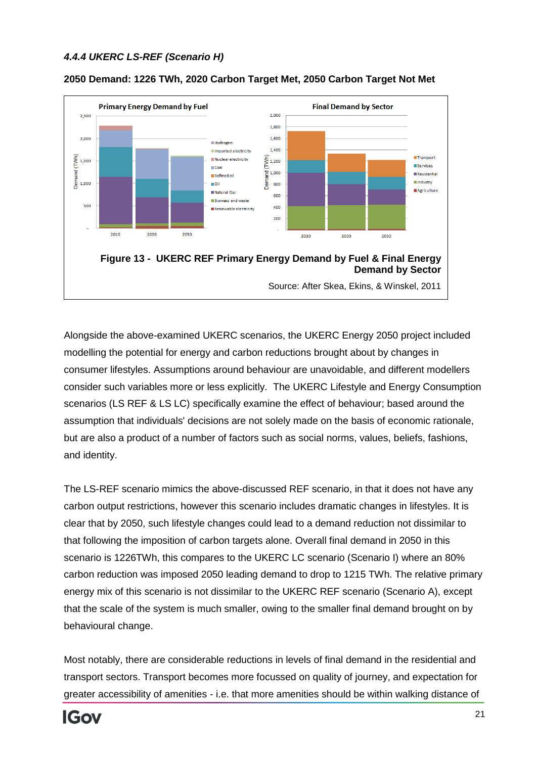#### <span id="page-20-0"></span>*4.4.4 UKERC LS-REF (Scenario H)*

![](_page_20_Figure_1.jpeg)

#### **2050 Demand: 1226 TWh, 2020 Carbon Target Met, 2050 Carbon Target Not Met**

Alongside the above-examined UKERC scenarios, the UKERC Energy 2050 project included modelling the potential for energy and carbon reductions brought about by changes in consumer lifestyles. Assumptions around behaviour are unavoidable, and different modellers consider such variables more or less explicitly. The UKERC Lifestyle and Energy Consumption scenarios (LS REF & LS LC) specifically examine the effect of behaviour; based around the assumption that individuals' decisions are not solely made on the basis of economic rationale, but are also a product of a number of factors such as social norms, values, beliefs, fashions, and identity.

The LS-REF scenario mimics the above-discussed REF scenario, in that it does not have any carbon output restrictions, however this scenario includes dramatic changes in lifestyles. It is clear that by 2050, such lifestyle changes could lead to a demand reduction not dissimilar to that following the imposition of carbon targets alone. Overall final demand in 2050 in this scenario is 1226TWh, this compares to the UKERC LC scenario (Scenario I) where an 80% carbon reduction was imposed 2050 leading demand to drop to 1215 TWh. The relative primary energy mix of this scenario is not dissimilar to the UKERC REF scenario (Scenario A), except that the scale of the system is much smaller, owing to the smaller final demand brought on by behavioural change.

Most notably, there are considerable reductions in levels of final demand in the residential and transport sectors. Transport becomes more focussed on quality of journey, and expectation for greater accessibility of amenities - i.e. that more amenities should be within walking distance of

![](_page_20_Picture_6.jpeg)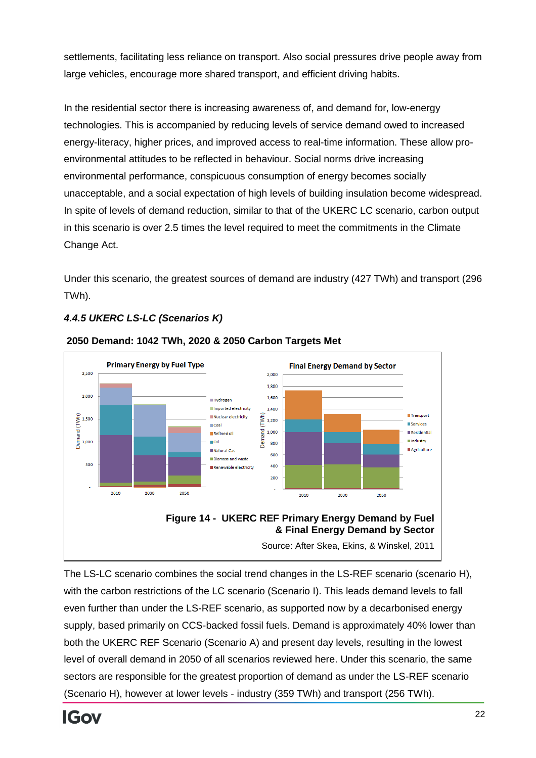settlements, facilitating less reliance on transport. Also social pressures drive people away from large vehicles, encourage more shared transport, and efficient driving habits.

In the residential sector there is increasing awareness of, and demand for, low-energy technologies. This is accompanied by reducing levels of service demand owed to increased energy-literacy, higher prices, and improved access to real-time information. These allow proenvironmental attitudes to be reflected in behaviour. Social norms drive increasing environmental performance, conspicuous consumption of energy becomes socially unacceptable, and a social expectation of high levels of building insulation become widespread. In spite of levels of demand reduction, similar to that of the UKERC LC scenario, carbon output in this scenario is over 2.5 times the level required to meet the commitments in the Climate Change Act.

Under this scenario, the greatest sources of demand are industry (427 TWh) and transport (296 TWh).

## <span id="page-21-0"></span>*4.4.5 UKERC LS-LC (Scenarios K)*

![](_page_21_Figure_4.jpeg)

#### **2050 Demand: 1042 TWh, 2020 & 2050 Carbon Targets Met**

The LS-LC scenario combines the social trend changes in the LS-REF scenario (scenario H), with the carbon restrictions of the LC scenario (Scenario I). This leads demand levels to fall even further than under the LS-REF scenario, as supported now by a decarbonised energy supply, based primarily on CCS-backed fossil fuels. Demand is approximately 40% lower than both the UKERC REF Scenario (Scenario A) and present day levels, resulting in the lowest level of overall demand in 2050 of all scenarios reviewed here. Under this scenario, the same sectors are responsible for the greatest proportion of demand as under the LS-REF scenario (Scenario H), however at lower levels - industry (359 TWh) and transport (256 TWh).

![](_page_21_Picture_7.jpeg)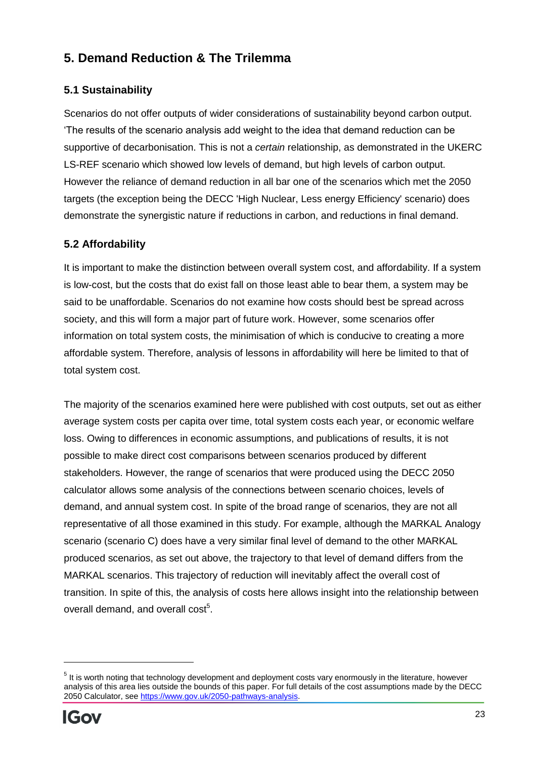# <span id="page-22-0"></span>**5. Demand Reduction & The Trilemma**

## <span id="page-22-1"></span>**5.1 Sustainability**

Scenarios do not offer outputs of wider considerations of sustainability beyond carbon output. 'The results of the scenario analysis add weight to the idea that demand reduction can be supportive of decarbonisation. This is not a *certain* relationship, as demonstrated in the UKERC LS-REF scenario which showed low levels of demand, but high levels of carbon output. However the reliance of demand reduction in all bar one of the scenarios which met the 2050 targets (the exception being the DECC 'High Nuclear, Less energy Efficiency' scenario) does demonstrate the synergistic nature if reductions in carbon, and reductions in final demand.

## <span id="page-22-2"></span>**5.2 Affordability**

It is important to make the distinction between overall system cost, and affordability. If a system is low-cost, but the costs that do exist fall on those least able to bear them, a system may be said to be unaffordable. Scenarios do not examine how costs should best be spread across society, and this will form a major part of future work. However, some scenarios offer information on total system costs, the minimisation of which is conducive to creating a more affordable system. Therefore, analysis of lessons in affordability will here be limited to that of total system cost.

The majority of the scenarios examined here were published with cost outputs, set out as either average system costs per capita over time, total system costs each year, or economic welfare loss. Owing to differences in economic assumptions, and publications of results, it is not possible to make direct cost comparisons between scenarios produced by different stakeholders. However, the range of scenarios that were produced using the DECC 2050 calculator allows some analysis of the connections between scenario choices, levels of demand, and annual system cost. In spite of the broad range of scenarios, they are not all representative of all those examined in this study. For example, although the MARKAL Analogy scenario (scenario C) does have a very similar final level of demand to the other MARKAL produced scenarios, as set out above, the trajectory to that level of demand differs from the MARKAL scenarios. This trajectory of reduction will inevitably affect the overall cost of transition. In spite of this, the analysis of costs here allows insight into the relationship between overall demand, and overall cost<sup>5</sup>.

 $5$  It is worth noting that technology development and deployment costs vary enormously in the literature, however analysis of this area lies outside the bounds of this paper. For full details of the cost assumptions made by the DECC 2050 Calculator, see [https://www.gov.uk/2050-pathways-analysis.](https://www.gov.uk/2050-pathways-analysis)

![](_page_22_Picture_7.jpeg)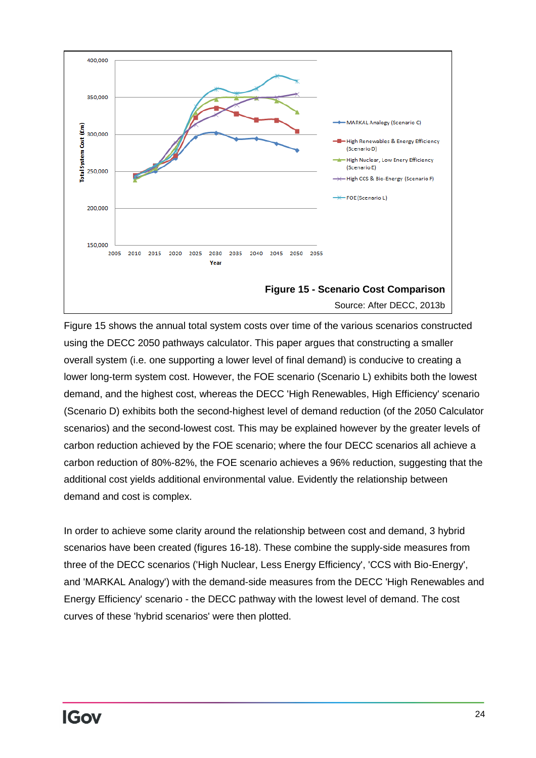![](_page_23_Figure_0.jpeg)

Figure 15 shows the annual total system costs over time of the various scenarios constructed using the DECC 2050 pathways calculator. This paper argues that constructing a smaller overall system (i.e. one supporting a lower level of final demand) is conducive to creating a lower long-term system cost. However, the FOE scenario (Scenario L) exhibits both the lowest demand, and the highest cost, whereas the DECC 'High Renewables, High Efficiency' scenario (Scenario D) exhibits both the second-highest level of demand reduction (of the 2050 Calculator scenarios) and the second-lowest cost. This may be explained however by the greater levels of carbon reduction achieved by the FOE scenario; where the four DECC scenarios all achieve a carbon reduction of 80%-82%, the FOE scenario achieves a 96% reduction, suggesting that the additional cost yields additional environmental value. Evidently the relationship between demand and cost is complex.

In order to achieve some clarity around the relationship between cost and demand, 3 hybrid scenarios have been created (figures 16-18). These combine the supply-side measures from three of the DECC scenarios ('High Nuclear, Less Energy Efficiency', 'CCS with Bio-Energy', and 'MARKAL Analogy') with the demand-side measures from the DECC 'High Renewables and Energy Efficiency' scenario - the DECC pathway with the lowest level of demand. The cost curves of these 'hybrid scenarios' were then plotted.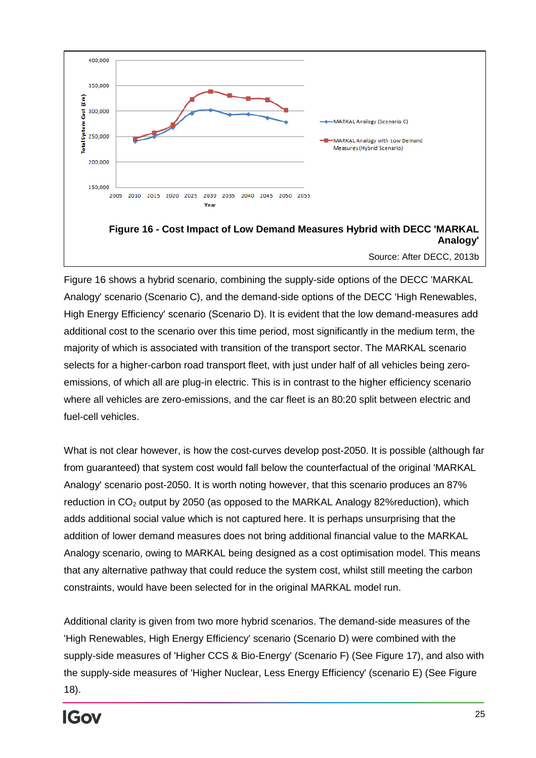![](_page_24_Figure_0.jpeg)

Source: After DECC, 2013b

Figure 16 shows a hybrid scenario, combining the supply-side options of the DECC 'MARKAL Analogy' scenario (Scenario C), and the demand-side options of the DECC 'High Renewables, High Energy Efficiency' scenario (Scenario D). It is evident that the low demand-measures add additional cost to the scenario over this time period, most significantly in the medium term, the majority of which is associated with transition of the transport sector. The MARKAL scenario selects for a higher-carbon road transport fleet, with just under half of all vehicles being zeroemissions, of which all are plug-in electric. This is in contrast to the higher efficiency scenario where all vehicles are zero-emissions, and the car fleet is an 80:20 split between electric and fuel-cell vehicles.

What is not clear however, is how the cost-curves develop post-2050. It is possible (although far from guaranteed) that system cost would fall below the counterfactual of the original 'MARKAL Analogy' scenario post-2050. It is worth noting however, that this scenario produces an 87% reduction in  $CO<sub>2</sub>$  output by 2050 (as opposed to the MARKAL Analogy 82% reduction), which adds additional social value which is not captured here. It is perhaps unsurprising that the addition of lower demand measures does not bring additional financial value to the MARKAL Analogy scenario, owing to MARKAL being designed as a cost optimisation model. This means that any alternative pathway that could reduce the system cost, whilst still meeting the carbon constraints, would have been selected for in the original MARKAL model run.

Additional clarity is given from two more hybrid scenarios. The demand-side measures of the 'High Renewables, High Energy Efficiency' scenario (Scenario D) were combined with the supply-side measures of 'Higher CCS & Bio-Energy' (Scenario F) (See Figure 17), and also with the supply-side measures of 'Higher Nuclear, Less Energy Efficiency' (scenario E) (See Figure 18).

![](_page_24_Picture_5.jpeg)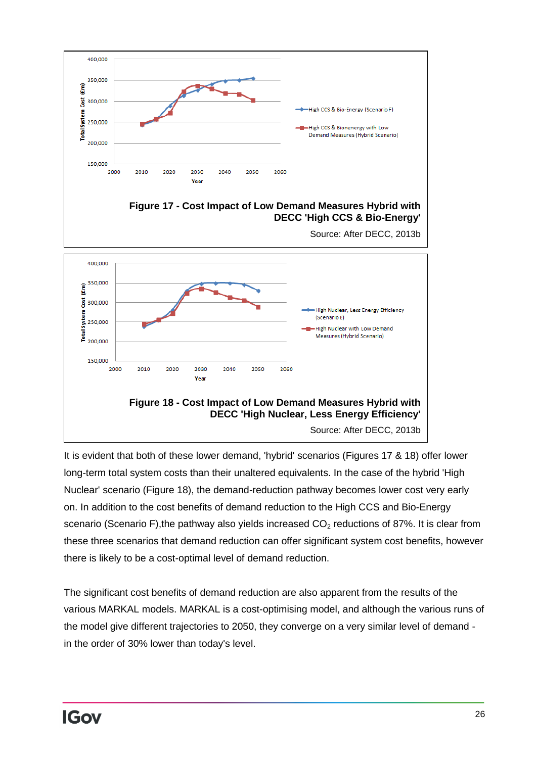![](_page_25_Figure_0.jpeg)

It is evident that both of these lower demand, 'hybrid' scenarios (Figures 17 & 18) offer lower long-term total system costs than their unaltered equivalents. In the case of the hybrid 'High Nuclear' scenario (Figure 18), the demand-reduction pathway becomes lower cost very early on. In addition to the cost benefits of demand reduction to the High CCS and Bio-Energy scenario (Scenario F), the pathway also yields increased  $CO<sub>2</sub>$  reductions of 87%. It is clear from these three scenarios that demand reduction can offer significant system cost benefits, however there is likely to be a cost-optimal level of demand reduction.

The significant cost benefits of demand reduction are also apparent from the results of the various MARKAL models. MARKAL is a cost-optimising model, and although the various runs of the model give different trajectories to 2050, they converge on a very similar level of demand in the order of 30% lower than today's level.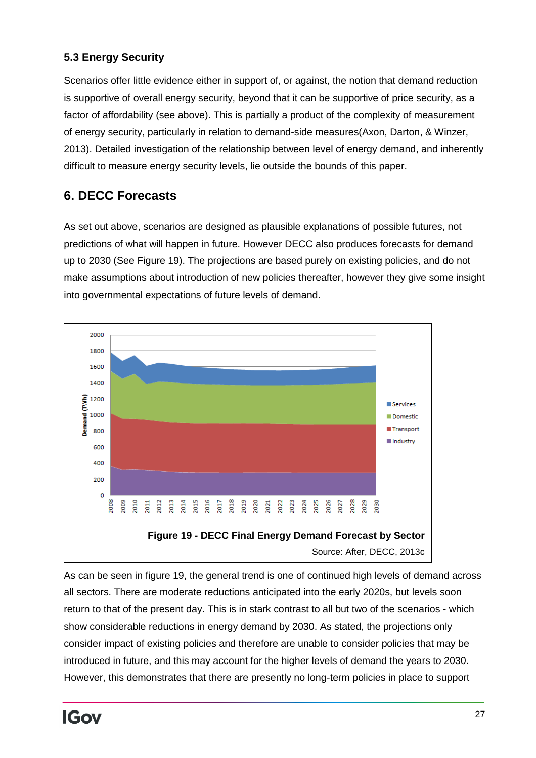## <span id="page-26-0"></span>**5.3 Energy Security**

Scenarios offer little evidence either in support of, or against, the notion that demand reduction is supportive of overall energy security, beyond that it can be supportive of price security, as a factor of affordability (see above). This is partially a product of the complexity of measurement of energy security, particularly in relation to demand-side measures(Axon, Darton, & Winzer, 2013). Detailed investigation of the relationship between level of energy demand, and inherently difficult to measure energy security levels, lie outside the bounds of this paper.

# <span id="page-26-1"></span>**6. DECC Forecasts**

As set out above, scenarios are designed as plausible explanations of possible futures, not predictions of what will happen in future. However DECC also produces forecasts for demand up to 2030 (See Figure 19). The projections are based purely on existing policies, and do not make assumptions about introduction of new policies thereafter, however they give some insight into governmental expectations of future levels of demand.

![](_page_26_Figure_4.jpeg)

As can be seen in figure 19, the general trend is one of continued high levels of demand across all sectors. There are moderate reductions anticipated into the early 2020s, but levels soon return to that of the present day. This is in stark contrast to all but two of the scenarios - which show considerable reductions in energy demand by 2030. As stated, the projections only consider impact of existing policies and therefore are unable to consider policies that may be introduced in future, and this may account for the higher levels of demand the years to 2030. However, this demonstrates that there are presently no long-term policies in place to support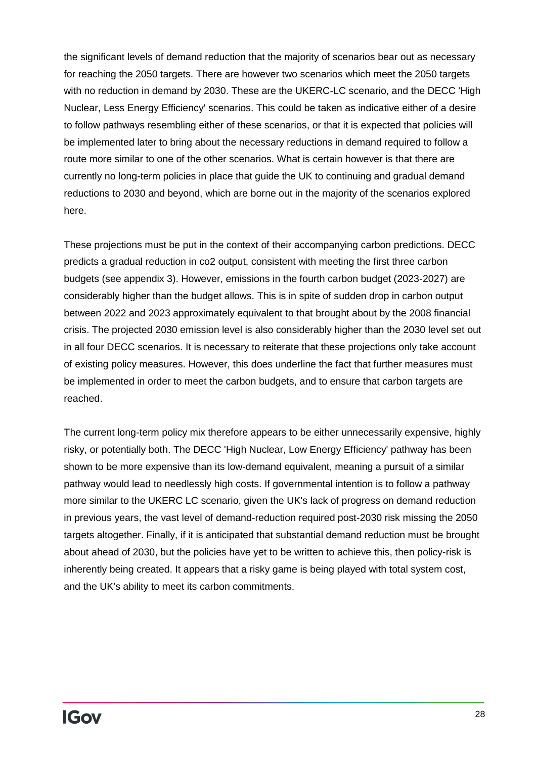the significant levels of demand reduction that the majority of scenarios bear out as necessary for reaching the 2050 targets. There are however two scenarios which meet the 2050 targets with no reduction in demand by 2030. These are the UKERC-LC scenario, and the DECC 'High Nuclear, Less Energy Efficiency' scenarios. This could be taken as indicative either of a desire to follow pathways resembling either of these scenarios, or that it is expected that policies will be implemented later to bring about the necessary reductions in demand required to follow a route more similar to one of the other scenarios. What is certain however is that there are currently no long-term policies in place that guide the UK to continuing and gradual demand reductions to 2030 and beyond, which are borne out in the majority of the scenarios explored here.

These projections must be put in the context of their accompanying carbon predictions. DECC predicts a gradual reduction in co2 output, consistent with meeting the first three carbon budgets (see appendix 3). However, emissions in the fourth carbon budget (2023-2027) are considerably higher than the budget allows. This is in spite of sudden drop in carbon output between 2022 and 2023 approximately equivalent to that brought about by the 2008 financial crisis. The projected 2030 emission level is also considerably higher than the 2030 level set out in all four DECC scenarios. It is necessary to reiterate that these projections only take account of existing policy measures. However, this does underline the fact that further measures must be implemented in order to meet the carbon budgets, and to ensure that carbon targets are reached.

<span id="page-27-0"></span>The current long-term policy mix therefore appears to be either unnecessarily expensive, highly risky, or potentially both. The DECC 'High Nuclear, Low Energy Efficiency' pathway has been shown to be more expensive than its low-demand equivalent, meaning a pursuit of a similar pathway would lead to needlessly high costs. If governmental intention is to follow a pathway more similar to the UKERC LC scenario, given the UK's lack of progress on demand reduction in previous years, the vast level of demand-reduction required post-2030 risk missing the 2050 targets altogether. Finally, if it is anticipated that substantial demand reduction must be brought about ahead of 2030, but the policies have yet to be written to achieve this, then policy-risk is inherently being created. It appears that a risky game is being played with total system cost, and the UK's ability to meet its carbon commitments.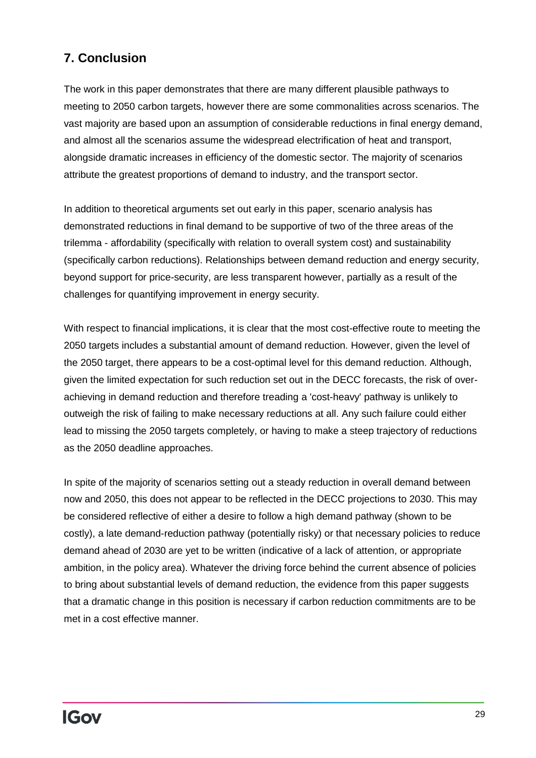# **7. Conclusion**

The work in this paper demonstrates that there are many different plausible pathways to meeting to 2050 carbon targets, however there are some commonalities across scenarios. The vast majority are based upon an assumption of considerable reductions in final energy demand, and almost all the scenarios assume the widespread electrification of heat and transport, alongside dramatic increases in efficiency of the domestic sector. The majority of scenarios attribute the greatest proportions of demand to industry, and the transport sector.

In addition to theoretical arguments set out early in this paper, scenario analysis has demonstrated reductions in final demand to be supportive of two of the three areas of the trilemma - affordability (specifically with relation to overall system cost) and sustainability (specifically carbon reductions). Relationships between demand reduction and energy security, beyond support for price-security, are less transparent however, partially as a result of the challenges for quantifying improvement in energy security.

With respect to financial implications, it is clear that the most cost-effective route to meeting the 2050 targets includes a substantial amount of demand reduction. However, given the level of the 2050 target, there appears to be a cost-optimal level for this demand reduction. Although, given the limited expectation for such reduction set out in the DECC forecasts, the risk of overachieving in demand reduction and therefore treading a 'cost-heavy' pathway is unlikely to outweigh the risk of failing to make necessary reductions at all. Any such failure could either lead to missing the 2050 targets completely, or having to make a steep trajectory of reductions as the 2050 deadline approaches.

<span id="page-28-0"></span>In spite of the majority of scenarios setting out a steady reduction in overall demand between now and 2050, this does not appear to be reflected in the DECC projections to 2030. This may be considered reflective of either a desire to follow a high demand pathway (shown to be costly), a late demand-reduction pathway (potentially risky) or that necessary policies to reduce demand ahead of 2030 are yet to be written (indicative of a lack of attention, or appropriate ambition, in the policy area). Whatever the driving force behind the current absence of policies to bring about substantial levels of demand reduction, the evidence from this paper suggests that a dramatic change in this position is necessary if carbon reduction commitments are to be met in a cost effective manner.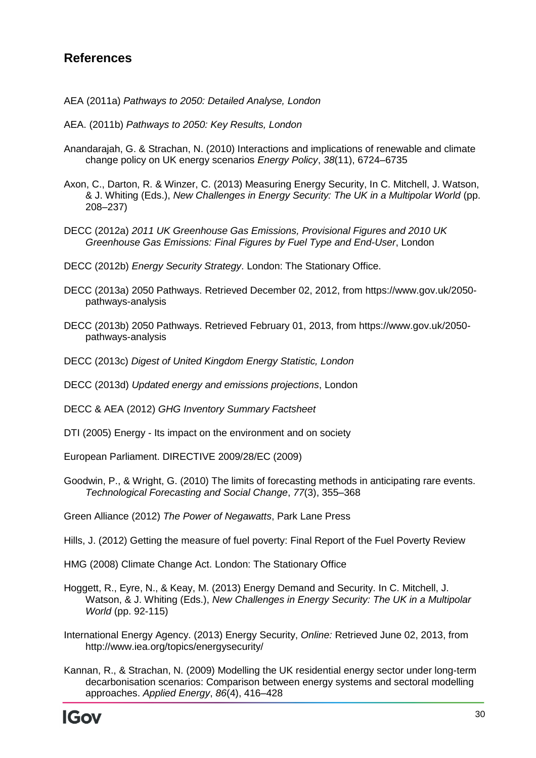## **References**

- AEA (2011a) *Pathways to 2050: Detailed Analyse, London*
- AEA. (2011b) *Pathways to 2050: Key Results, London*
- Anandarajah, G. & Strachan, N. (2010) Interactions and implications of renewable and climate change policy on UK energy scenarios *Energy Policy*, *38*(11), 6724–6735
- Axon, C., Darton, R. & Winzer, C. (2013) Measuring Energy Security, In C. Mitchell, J. Watson, & J. Whiting (Eds.), *New Challenges in Energy Security: The UK in a Multipolar World* (pp. 208–237)
- DECC (2012a) *2011 UK Greenhouse Gas Emissions, Provisional Figures and 2010 UK Greenhouse Gas Emissions: Final Figures by Fuel Type and End-User*, London
- DECC (2012b) *Energy Security Strategy*. London: The Stationary Office.
- DECC (2013a) 2050 Pathways. Retrieved December 02, 2012, from https://www.gov.uk/2050 pathways-analysis
- DECC (2013b) 2050 Pathways. Retrieved February 01, 2013, from https://www.gov.uk/2050 pathways-analysis
- DECC (2013c) *Digest of United Kingdom Energy Statistic, London*
- DECC (2013d) *Updated energy and emissions projections*, London
- DECC & AEA (2012) *GHG Inventory Summary Factsheet*
- DTI (2005) Energy Its impact on the environment and on society
- European Parliament. DIRECTIVE 2009/28/EC (2009)
- Goodwin, P., & Wright, G. (2010) The limits of forecasting methods in anticipating rare events. *Technological Forecasting and Social Change*, *77*(3), 355–368

Green Alliance (2012) *The Power of Negawatts*, Park Lane Press

Hills, J. (2012) Getting the measure of fuel poverty: Final Report of the Fuel Poverty Review

HMG (2008) Climate Change Act. London: The Stationary Office

- Hoggett, R., Eyre, N., & Keay, M. (2013) Energy Demand and Security. In C. Mitchell, J. Watson, & J. Whiting (Eds.), *New Challenges in Energy Security: The UK in a Multipolar World* (pp. 92-115)
- International Energy Agency. (2013) Energy Security, *Online:* Retrieved June 02, 2013, from http://www.iea.org/topics/energysecurity/
- Kannan, R., & Strachan, N. (2009) Modelling the UK residential energy sector under long-term decarbonisation scenarios: Comparison between energy systems and sectoral modelling approaches. *Applied Energy*, *86*(4), 416–428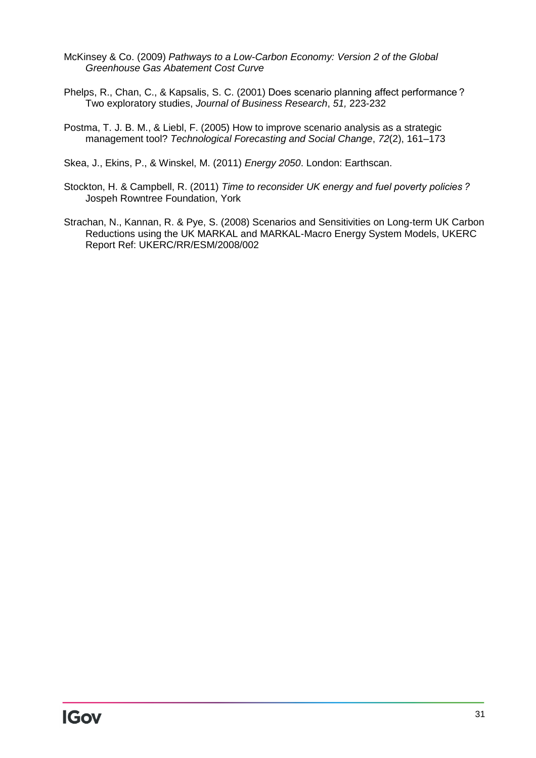- McKinsey & Co. (2009) *Pathways to a Low-Carbon Economy: Version 2 of the Global Greenhouse Gas Abatement Cost Curve*
- Phelps, R., Chan, C., & Kapsalis, S. C. (2001) Does scenario planning affect performance ? Two exploratory studies, *Journal of Business Research*, *51,* 223-232
- Postma, T. J. B. M., & Liebl, F. (2005) How to improve scenario analysis as a strategic management tool? *Technological Forecasting and Social Change*, *72*(2), 161–173

Skea, J., Ekins, P., & Winskel, M. (2011) *Energy 2050*. London: Earthscan.

- Stockton, H. & Campbell, R. (2011) *Time to reconsider UK energy and fuel poverty policies ?* Jospeh Rowntree Foundation, York
- Strachan, N., Kannan, R. & Pye, S. (2008) Scenarios and Sensitivities on Long-term UK Carbon Reductions using the UK MARKAL and MARKAL-Macro Energy System Models, UKERC Report Ref: UKERC/RR/ESM/2008/002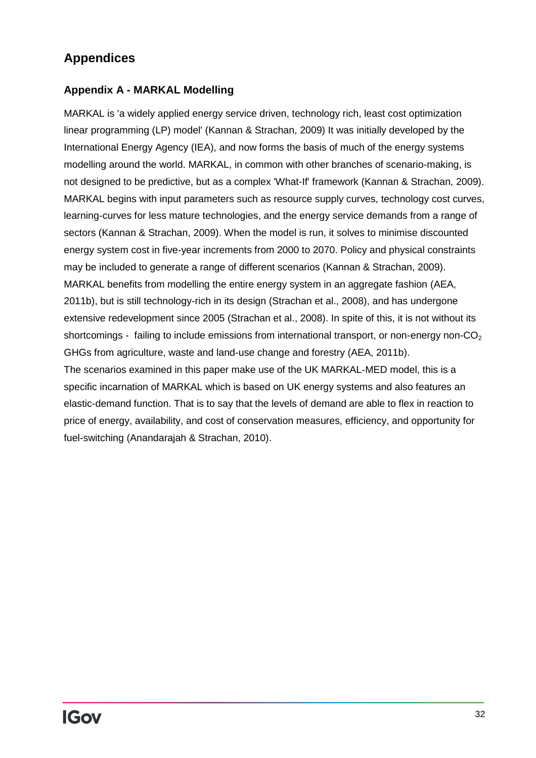# **Appendices**

## <span id="page-31-0"></span>**Appendix A - MARKAL Modelling**

MARKAL is 'a widely applied energy service driven, technology rich, least cost optimization linear programming (LP) model' (Kannan & Strachan, 2009) It was initially developed by the International Energy Agency (IEA), and now forms the basis of much of the energy systems modelling around the world. MARKAL, in common with other branches of scenario-making, is not designed to be predictive, but as a complex 'What-If' framework (Kannan & Strachan, 2009). MARKAL begins with input parameters such as resource supply curves, technology cost curves, learning-curves for less mature technologies, and the energy service demands from a range of sectors (Kannan & Strachan, 2009). When the model is run, it solves to minimise discounted energy system cost in five-year increments from 2000 to 2070. Policy and physical constraints may be included to generate a range of different scenarios (Kannan & Strachan, 2009). MARKAL benefits from modelling the entire energy system in an aggregate fashion (AEA, 2011b), but is still technology-rich in its design (Strachan et al., 2008), and has undergone extensive redevelopment since 2005 (Strachan et al., 2008). In spite of this, it is not without its shortcomings - failing to include emissions from international transport, or non-energy non- $CO<sub>2</sub>$ GHGs from agriculture, waste and land-use change and forestry (AEA, 2011b).

The scenarios examined in this paper make use of the UK MARKAL-MED model, this is a specific incarnation of MARKAL which is based on UK energy systems and also features an elastic-demand function. That is to say that the levels of demand are able to flex in reaction to price of energy, availability, and cost of conservation measures, efficiency, and opportunity for fuel-switching (Anandarajah & Strachan, 2010).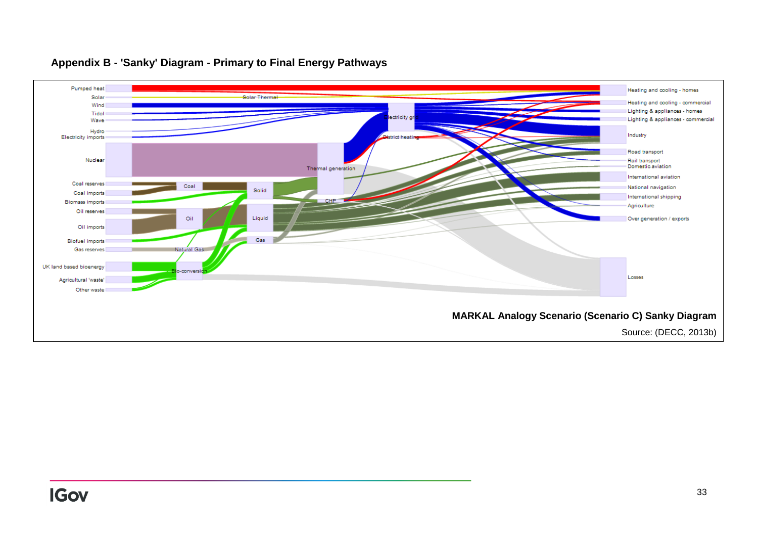![](_page_32_Figure_0.jpeg)

#### **Appendix B - 'Sanky' Diagram - Primary to Final Energy Pathways**